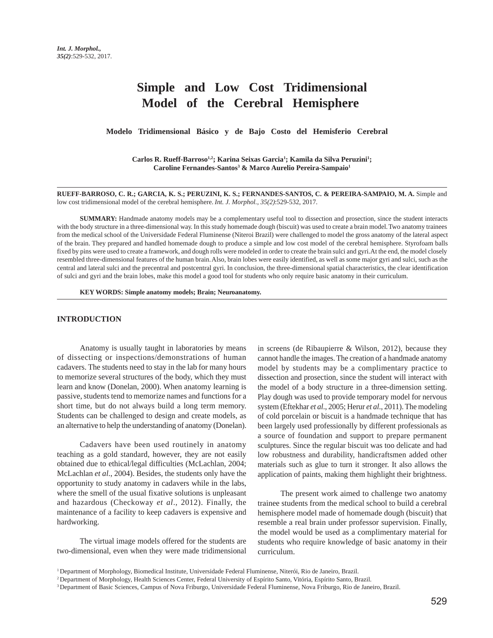# **Simple and Low Cost Tridimensional Model of the Cerebral Hemisphere**

**Modelo Tridimensional Básico y de Bajo Costo del Hemisferio Cerebral** 

Carlos R. Rueff-Barroso<sup>1,2</sup>; Karina Seixas Garcia<sup>1</sup>; Kamila da Silva Peruzini<sup>1</sup>; **Caroline Fernandes-Santos3 & Marco Aurelio Pereira-Sampaio1**

**RUEFF-BARROSO, C. R.; GARCIA, K. S.; PERUZINI, K. S.; FERNANDES-SANTOS, C. & PEREIRA-SAMPAIO, M. A.** Simple and low cost tridimensional model of the cerebral hemisphere. *Int. J. Morphol., 35(2)*:529-532, 2017.

**SUMMARY:** Handmade anatomy models may be a complementary useful tool to dissection and prosection, since the student interacts with the body structure in a three-dimensional way. In this study homemade dough (biscuit) was used to create a brain model. Two anatomy trainees from the medical school of the Universidade Federal Fluminense (Niteroi Brazil) were challenged to model the gross anatomy of the lateral aspect of the brain. They prepared and handled homemade dough to produce a simple and low cost model of the cerebral hemisphere. Styrofoam balls fixed by pins were used to create a framework, and dough rolls were modeled in order to create the brain sulci and gyri. At the end, the model closely resembled three-dimensional features of the human brain. Also, brain lobes were easily identified, as well as some major gyri and sulci, such as the central and lateral sulci and the precentral and postcentral gyri. In conclusion, the three-dimensional spatial characteristics, the clear identification of sulci and gyri and the brain lobes, make this model a good tool for students who only require basic anatomy in their curriculum.

**KEY WORDS: Simple anatomy models; Brain; Neuroanatomy.**

### **INTRODUCTION**

Anatomy is usually taught in laboratories by means of dissecting or inspections/demonstrations of human cadavers. The students need to stay in the lab for many hours to memorize several structures of the body, which they must learn and know (Donelan, 2000). When anatomy learning is passive, students tend to memorize names and functions for a short time, but do not always build a long term memory. Students can be challenged to design and create models, as an alternative to help the understanding of anatomy (Donelan).

Cadavers have been used routinely in anatomy teaching as a gold standard, however, they are not easily obtained due to ethical/legal difficulties (McLachlan, 2004; McLachlan *et al*., 2004). Besides, the students only have the opportunity to study anatomy in cadavers while in the labs, where the smell of the usual fixative solutions is unpleasant and hazardous (Checkoway *et al*., 2012). Finally, the maintenance of a facility to keep cadavers is expensive and hardworking.

The virtual image models offered for the students are two-dimensional, even when they were made tridimensional in screens (de Ribaupierre & Wilson, 2012), because they cannot handle the images. The creation of a handmade anatomy model by students may be a complimentary practice to dissection and prosection, since the student will interact with the model of a body structure in a three-dimension setting. Play dough was used to provide temporary model for nervous system (Eftekhar *et al*., 2005; Herur *et al*., 2011). The modeling of cold porcelain or biscuit is a handmade technique that has been largely used professionally by different professionals as a source of foundation and support to prepare permanent sculptures. Since the regular biscuit was too delicate and had low robustness and durability, handicraftsmen added other materials such as glue to turn it stronger. It also allows the application of paints, making them highlight their brightness.

The present work aimed to challenge two anatomy trainee students from the medical school to build a cerebral hemisphere model made of homemade dough (biscuit) that resemble a real brain under professor supervision. Finally, the model would be used as a complimentary material for students who require knowledge of basic anatomy in their curriculum.

<sup>1</sup> Department of Morphology, Biomedical Institute, Universidade Federal Fluminense, Niterói, Rio de Janeiro, Brazil.

<sup>2</sup> Department of Morphology, Health Sciences Center, Federal University of Espírito Santo, Vitória, Espírito Santo, Brazil.

<sup>3</sup> Department of Basic Sciences, Campus of Nova Friburgo, Universidade Federal Fluminense, Nova Friburgo, Rio de Janeiro, Brazil.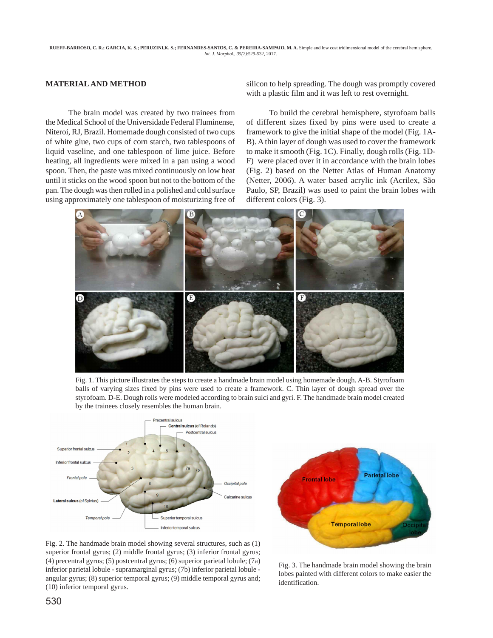# **MATERIAL AND METHOD**

The brain model was created by two trainees from the Medical School of the Universidade Federal Fluminense, Niteroi, RJ, Brazil. Homemade dough consisted of two cups of white glue, two cups of corn starch, two tablespoons of liquid vaseline, and one tablespoon of lime juice. Before heating, all ingredients were mixed in a pan using a wood spoon. Then, the paste was mixed continuously on low heat until it sticks on the wood spoon but not to the bottom of the pan. The dough was then rolled in a polished and cold surface using approximately one tablespoon of moisturizing free of silicon to help spreading. The dough was promptly covered with a plastic film and it was left to rest overnight.

To build the cerebral hemisphere, styrofoam balls of different sizes fixed by pins were used to create a framework to give the initial shape of the model (Fig. 1A-B). A thin layer of dough was used to cover the framework to make it smooth (Fig. 1C). Finally, dough rolls (Fig. 1D-F) were placed over it in accordance with the brain lobes (Fig. 2) based on the Netter Atlas of Human Anatomy (Netter, 2006). A water based acrylic ink (Acrilex, São Paulo, SP, Brazil) was used to paint the brain lobes with different colors (Fig. 3).



Fig. 1. This picture illustrates the steps to create a handmade brain model using homemade dough. A-B. Styrofoam balls of varying sizes fixed by pins were used to create a framework. C. Thin layer of dough spread over the styrofoam. D-E. Dough rolls were modeled according to brain sulci and gyri. F. The handmade brain model created by the trainees closely resembles the human brain.





Fig. 2. The handmade brain model showing several structures, such as (1) superior frontal gyrus; (2) middle frontal gyrus; (3) inferior frontal gyrus; (4) precentral gyrus; (5) postcentral gyrus; (6) superior parietal lobule; (7a) inferior parietal lobule - supramarginal gyrus; (7b) inferior parietal lobule angular gyrus; (8) superior temporal gyrus; (9) middle temporal gyrus and; (10) inferior temporal gyrus.

Fig. 3. The handmade brain model showing the brain lobes painted with different colors to make easier the identification.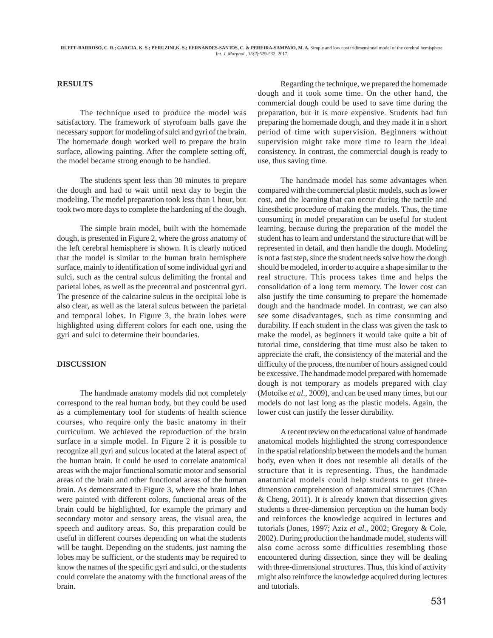# **RESULTS**

The technique used to produce the model was satisfactory. The framework of styrofoam balls gave the necessary support for modeling of sulci and gyri of the brain. The homemade dough worked well to prepare the brain surface, allowing painting. After the complete setting off, the model became strong enough to be handled.

The students spent less than 30 minutes to prepare the dough and had to wait until next day to begin the modeling. The model preparation took less than 1 hour, but took two more days to complete the hardening of the dough.

The simple brain model, built with the homemade dough, is presented in Figure 2, where the gross anatomy of the left cerebral hemisphere is shown. It is clearly noticed that the model is similar to the human brain hemisphere surface, mainly to identification of some individual gyri and sulci, such as the central sulcus delimiting the frontal and parietal lobes, as well as the precentral and postcentral gyri. The presence of the calcarine sulcus in the occipital lobe is also clear, as well as the lateral sulcus between the parietal and temporal lobes. In Figure 3, the brain lobes were highlighted using different colors for each one, using the gyri and sulci to determine their boundaries.

#### **DISCUSSION**

The handmade anatomy models did not completely correspond to the real human body, but they could be used as a complementary tool for students of health science courses, who require only the basic anatomy in their curriculum. We achieved the reproduction of the brain surface in a simple model. In Figure 2 it is possible to recognize all gyri and sulcus located at the lateral aspect of the human brain. It could be used to correlate anatomical areas with the major functional somatic motor and sensorial areas of the brain and other functional areas of the human brain. As demonstrated in Figure 3, where the brain lobes were painted with different colors, functional areas of the brain could be highlighted, for example the primary and secondary motor and sensory areas, the visual area, the speech and auditory areas. So, this preparation could be useful in different courses depending on what the students will be taught. Depending on the students, just naming the lobes may be sufficient, or the students may be required to know the names of the specific gyri and sulci, or the students could correlate the anatomy with the functional areas of the brain.

Regarding the technique, we prepared the homemade dough and it took some time. On the other hand, the commercial dough could be used to save time during the preparation, but it is more expensive. Students had fun preparing the homemade dough, and they made it in a short period of time with supervision. Beginners without supervision might take more time to learn the ideal consistency. In contrast, the commercial dough is ready to use, thus saving time.

The handmade model has some advantages when compared with the commercial plastic models, such as lower cost, and the learning that can occur during the tactile and kinesthetic procedure of making the models. Thus, the time consuming in model preparation can be useful for student learning, because during the preparation of the model the student has to learn and understand the structure that will be represented in detail, and then handle the dough. Modeling is not a fast step, since the student needs solve how the dough should be modeled, in order to acquire a shape similar to the real structure. This process takes time and helps the consolidation of a long term memory. The lower cost can also justify the time consuming to prepare the homemade dough and the handmade model. In contrast, we can also see some disadvantages, such as time consuming and durability. If each student in the class was given the task to make the model, as beginners it would take quite a bit of tutorial time, considering that time must also be taken to appreciate the craft, the consistency of the material and the difficulty of the process, the number of hours assigned could be excessive. The handmade model prepared with homemade dough is not temporary as models prepared with clay (Motoike *et al*., 2009), and can be used many times, but our models do not last long as the plastic models. Again, the lower cost can justify the lesser durability.

A recent review on the educational value of handmade anatomical models highlighted the strong correspondence in the spatial relationship between the models and the human body, even when it does not resemble all details of the structure that it is representing. Thus, the handmade anatomical models could help students to get threedimension comprehension of anatomical structures (Chan & Cheng, 2011). It is already known that dissection gives students a three-dimension perception on the human body and reinforces the knowledge acquired in lectures and tutorials (Jones, 1997; Aziz *et al*., 2002; Gregory & Cole, 2002). During production the handmade model, students will also come across some difficulties resembling those encountered during dissection, since they will be dealing with three-dimensional structures. Thus, this kind of activity might also reinforce the knowledge acquired during lectures and tutorials.